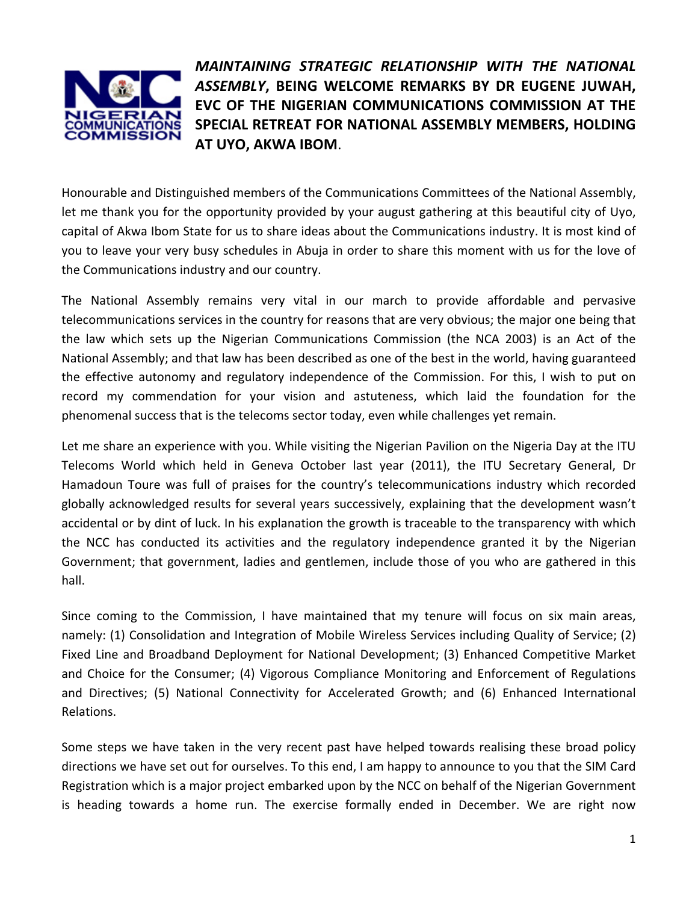

*MAINTAINING STRATEGIC RELATIONSHIP WITH THE NATIONAL ASSEMBLY***, BEING WELCOME REMARKS BY DR EUGENE JUWAH, EVC OF THE NIGERIAN COMMUNICATIONS COMMISSION AT THE SPECIAL RETREAT FOR NATIONAL ASSEMBLY MEMBERS, HOLDING AT UYO, AKWA IBOM**.

Honourable and Distinguished members of the Communications Committees of the National Assembly, let me thank you for the opportunity provided by your august gathering at this beautiful city of Uyo, capital of Akwa Ibom State for us to share ideas about the Communications industry. It is most kind of you to leave your very busy schedules in Abuja in order to share this moment with us for the love of the Communications industry and our country.

The National Assembly remains very vital in our march to provide affordable and pervasive telecommunications services in the country for reasons that are very obvious; the major one being that the law which sets up the Nigerian Communications Commission (the NCA 2003) is an Act of the National Assembly; and that law has been described as one of the best in the world, having guaranteed the effective autonomy and regulatory independence of the Commission. For this, I wish to put on record my commendation for your vision and astuteness, which laid the foundation for the phenomenal success that is the telecoms sector today, even while challenges yet remain.

Let me share an experience with you. While visiting the Nigerian Pavilion on the Nigeria Day at the ITU Telecoms World which held in Geneva October last year (2011), the ITU Secretary General, Dr Hamadoun Toure was full of praises for the country's telecommunications industry which recorded globally acknowledged results for several years successively, explaining that the development wasn't accidental or by dint of luck. In his explanation the growth is traceable to the transparency with which the NCC has conducted its activities and the regulatory independence granted it by the Nigerian Government; that government, ladies and gentlemen, include those of you who are gathered in this hall.

Since coming to the Commission, I have maintained that my tenure will focus on six main areas, namely: (1) Consolidation and Integration of Mobile Wireless Services including Quality of Service; (2) Fixed Line and Broadband Deployment for National Development; (3) Enhanced Competitive Market and Choice for the Consumer; (4) Vigorous Compliance Monitoring and Enforcement of Regulations and Directives; (5) National Connectivity for Accelerated Growth; and (6) Enhanced International Relations.

Some steps we have taken in the very recent past have helped towards realising these broad policy directions we have set out for ourselves. To this end, I am happy to announce to you that the SIM Card Registration which is a major project embarked upon by the NCC on behalf of the Nigerian Government is heading towards a home run. The exercise formally ended in December. We are right now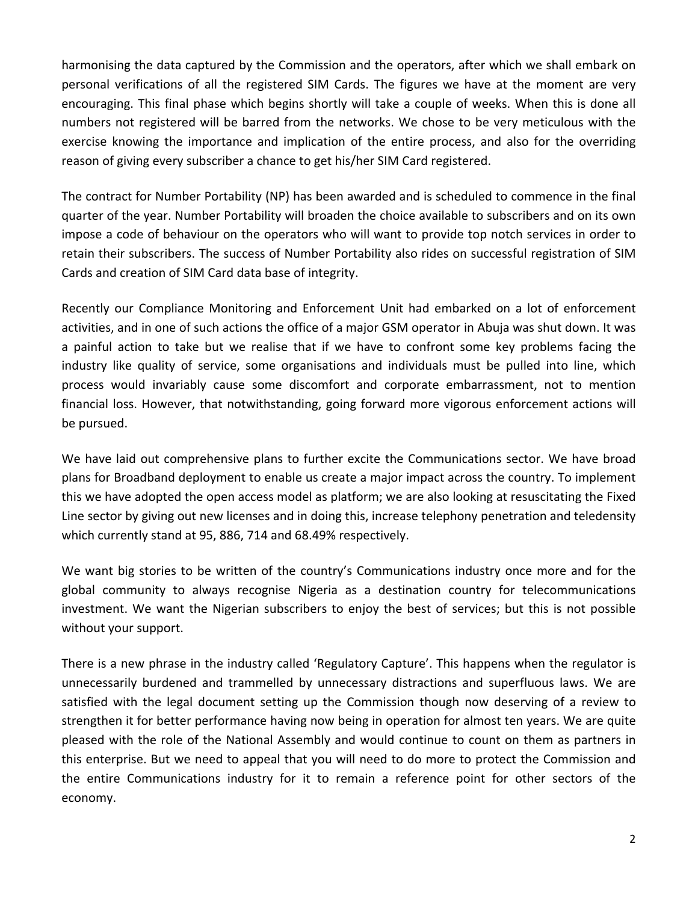harmonising the data captured by the Commission and the operators, after which we shall embark on personal verifications of all the registered SIM Cards. The figures we have at the moment are very encouraging. This final phase which begins shortly will take a couple of weeks. When this is done all numbers not registered will be barred from the networks. We chose to be very meticulous with the exercise knowing the importance and implication of the entire process, and also for the overriding reason of giving every subscriber a chance to get his/her SIM Card registered.

The contract for Number Portability (NP) has been awarded and is scheduled to commence in the final quarter of the year. Number Portability will broaden the choice available to subscribers and on its own impose a code of behaviour on the operators who will want to provide top notch services in order to retain their subscribers. The success of Number Portability also rides on successful registration of SIM Cards and creation of SIM Card data base of integrity.

Recently our Compliance Monitoring and Enforcement Unit had embarked on a lot of enforcement activities, and in one of such actions the office of a major GSM operator in Abuja was shut down. It was a painful action to take but we realise that if we have to confront some key problems facing the industry like quality of service, some organisations and individuals must be pulled into line, which process would invariably cause some discomfort and corporate embarrassment, not to mention financial loss. However, that notwithstanding, going forward more vigorous enforcement actions will be pursued.

We have laid out comprehensive plans to further excite the Communications sector. We have broad plans for Broadband deployment to enable us create a major impact across the country. To implement this we have adopted the open access model as platform; we are also looking at resuscitating the Fixed Line sector by giving out new licenses and in doing this, increase telephony penetration and teledensity which currently stand at 95, 886, 714 and 68.49% respectively.

We want big stories to be written of the country's Communications industry once more and for the global community to always recognise Nigeria as a destination country for telecommunications investment. We want the Nigerian subscribers to enjoy the best of services; but this is not possible without your support.

There is a new phrase in the industry called 'Regulatory Capture'. This happens when the regulator is unnecessarily burdened and trammelled by unnecessary distractions and superfluous laws. We are satisfied with the legal document setting up the Commission though now deserving of a review to strengthen it for better performance having now being in operation for almost ten years. We are quite pleased with the role of the National Assembly and would continue to count on them as partners in this enterprise. But we need to appeal that you will need to do more to protect the Commission and the entire Communications industry for it to remain a reference point for other sectors of the economy.